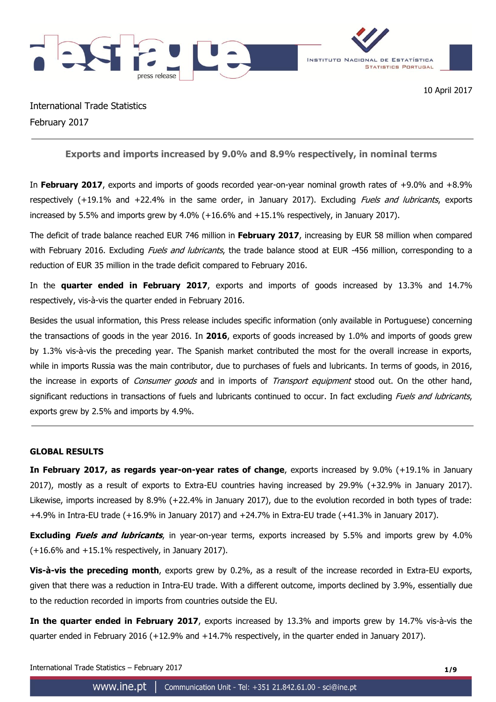

International Trade Statistics February 2017

**Exports and imports increased by 9.0% and 8.9% respectively, in nominal terms**

In **February 2017**, exports and imports of goods recorded year-on-year nominal growth rates of +9.0% and +8.9% respectively (+19.1% and +22.4% in the same order, in January 2017). Excluding *Fuels and lubricants*, exports increased by 5.5% and imports grew by 4.0% (+16.6% and +15.1% respectively, in January 2017).

The deficit of trade balance reached EUR 746 million in **February 2017**, increasing by EUR 58 million when compared with February 2016. Excluding *Fuels and lubricants*, the trade balance stood at EUR -456 million, corresponding to a reduction of EUR 35 million in the trade deficit compared to February 2016.

In the **quarter ended in February 2017**, exports and imports of goods increased by 13.3% and 14.7% respectively, vis-à-vis the quarter ended in February 2016.

Besides the usual information, this Press release includes specific information (only available in Portuguese) concerning the transactions of goods in the year 2016. In **2016**, exports of goods increased by 1.0% and imports of goods grew by 1.3% vis-à-vis the preceding year. The Spanish market contributed the most for the overall increase in exports, while in imports Russia was the main contributor, due to purchases of fuels and lubricants. In terms of goods, in 2016, the increase in exports of *Consumer goods* and in imports of *Transport equipment* stood out. On the other hand, significant reductions in transactions of fuels and lubricants continued to occur. In fact excluding Fuels and lubricants, exports grew by 2.5% and imports by 4.9%.

## **GLOBAL RESULTS**

**In February 2017, as regards year-on-year rates of change**, exports increased by 9.0% (+19.1% in January 2017), mostly as a result of exports to Extra-EU countries having increased by 29.9% (+32.9% in January 2017). Likewise, imports increased by 8.9% (+22.4% in January 2017), due to the evolution recorded in both types of trade: +4.9% in Intra-EU trade (+16.9% in January 2017) and +24.7% in Extra-EU trade (+41.3% in January 2017).

**Excluding Fuels and lubricants**, in year-on-year terms, exports increased by 5.5% and imports grew by 4.0% (+16.6% and +15.1% respectively, in January 2017).

**Vis-à-vis the preceding month**, exports grew by 0.2%, as a result of the increase recorded in Extra-EU exports, given that there was a reduction in Intra-EU trade. With a different outcome, imports declined by 3.9%, essentially due to the reduction recorded in imports from countries outside the EU.

**In the quarter ended in February 2017**, exports increased by 13.3% and imports grew by 14.7% vis-à-vis the quarter ended in February 2016 (+12.9% and +14.7% respectively, in the quarter ended in January 2017).

International Trade Statistics – February 2017 **1/9**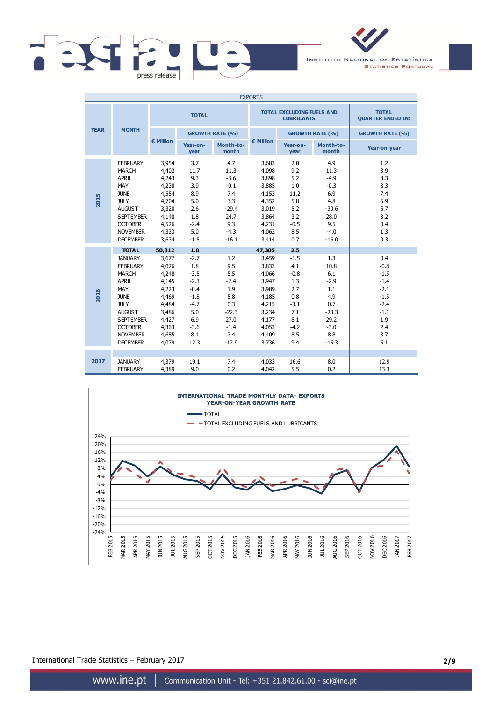

INSTITUTO NACIONAL DE ESTATÍSTICA **STATISTICS PORTUGAL** 

|             |                                                                                                                                                                                                                     |                                                                                                                    |                                                                                                               |                                                                                                 | <b>EXPORTS</b>                                                                                                     |                                                                                                     |                                                                                                  |                                                                                                       |
|-------------|---------------------------------------------------------------------------------------------------------------------------------------------------------------------------------------------------------------------|--------------------------------------------------------------------------------------------------------------------|---------------------------------------------------------------------------------------------------------------|-------------------------------------------------------------------------------------------------|--------------------------------------------------------------------------------------------------------------------|-----------------------------------------------------------------------------------------------------|--------------------------------------------------------------------------------------------------|-------------------------------------------------------------------------------------------------------|
|             |                                                                                                                                                                                                                     |                                                                                                                    | <b>TOTAL</b>                                                                                                  |                                                                                                 |                                                                                                                    | <b>TOTAL EXCLUDING FUELS AND</b><br><b>LUBRICANTS</b>                                               |                                                                                                  | <b>TOTAL</b><br><b>QUARTER ENDED IN:</b>                                                              |
| <b>YEAR</b> | <b>MONTH</b>                                                                                                                                                                                                        |                                                                                                                    |                                                                                                               | <b>GROWTH RATE (%)</b>                                                                          |                                                                                                                    |                                                                                                     | <b>GROWTH RATE (%)</b>                                                                           | <b>GROWTH RATE (%)</b>                                                                                |
|             |                                                                                                                                                                                                                     | € Million                                                                                                          | Year-on-<br>year                                                                                              | Month-to-<br>month                                                                              | € Million                                                                                                          | Year-on-<br>year                                                                                    | Month-to-<br>month                                                                               | Year-on-year                                                                                          |
| 2015        | <b>FEBRUARY</b><br><b>MARCH</b><br><b>APRIL</b><br>MAY<br><b>JUNE</b><br><b>JULY</b><br><b>AUGUST</b><br><b>SEPTEMBER</b><br><b>OCTOBER</b><br><b>NOVEMBER</b><br><b>DECEMBER</b>                                   | 3,954<br>4,402<br>4,243<br>4,238<br>4,554<br>4,704<br>3,320<br>4,140<br>4,526<br>4,333<br>3,634                    | 3.7<br>11.7<br>9.3<br>3.9<br>8.9<br>5.0<br>2.6<br>1.8<br>$-2.4$<br>5.0<br>$-1.5$                              | 4.7<br>11.3<br>$-3.6$<br>$-0.1$<br>7.4<br>3.3<br>$-29.4$<br>24.7<br>9.3<br>$-4.3$<br>$-16.1$    | 3,683<br>4,098<br>3,898<br>3,885<br>4,153<br>4,352<br>3,019<br>3,864<br>4,231<br>4,062<br>3,414                    | 2.0<br>9.2<br>5.2<br>1.0<br>11.2<br>5.8<br>5.2<br>3.2<br>$-0.5$<br>8.5<br>0.7                       | 4.9<br>11.3<br>$-4.9$<br>$-0.3$<br>6.9<br>4.8<br>$-30.6$<br>28.0<br>9.5<br>$-4.0$<br>$-16.0$     | 1.2<br>3.9<br>8.3<br>8.3<br>7.4<br>5.9<br>5.7<br>3.2<br>0.4<br>1.3<br>0.3                             |
| 2016        | <b>TOTAL</b><br><b>JANUARY</b><br><b>FEBRUARY</b><br><b>MARCH</b><br><b>APRIL</b><br>MAY<br><b>JUNE</b><br><b>JULY</b><br><b>AUGUST</b><br><b>SEPTEMBER</b><br><b>OCTOBER</b><br><b>NOVEMBER</b><br><b>DECEMBER</b> | 50,312<br>3,677<br>4,026<br>4,248<br>4,145<br>4,223<br>4,469<br>4,484<br>3,486<br>4,427<br>4,363<br>4,685<br>4,079 | 1.0<br>$-2.7$<br>1.8<br>$-3.5$<br>$-2.3$<br>$-0.4$<br>$-1.8$<br>$-4.7$<br>5.0<br>6.9<br>$-3.6$<br>8.1<br>12.3 | 1.2<br>9.5<br>5.5<br>$-2.4$<br>1.9<br>5.8<br>0.3<br>$-22.3$<br>27.0<br>$-1.4$<br>7.4<br>$-12.9$ | 47,305<br>3,459<br>3,833<br>4,066<br>3,947<br>3,989<br>4,185<br>4,215<br>3,234<br>4,177<br>4,053<br>4,409<br>3,736 | 2.5<br>$-1.5$<br>4.1<br>$-0.8$<br>1.3<br>2.7<br>0.8<br>$-3.1$<br>7.1<br>8.1<br>$-4.2$<br>8.5<br>9.4 | 1.3<br>10.8<br>6.1<br>$-2.9$<br>1.1<br>4.9<br>0.7<br>$-23.3$<br>29.2<br>$-3.0$<br>8.8<br>$-15.3$ | 0.4<br>$-0.8$<br>$-1.5$<br>$-1.4$<br>$-2.1$<br>$-1.5$<br>$-2.4$<br>$-1.1$<br>1.9<br>2.4<br>3.7<br>5.1 |
| 2017        | <b>JANUARY</b><br><b>FEBRUARY</b>                                                                                                                                                                                   | 4,379<br>4,389                                                                                                     | 19.1<br>9.0                                                                                                   | 7.4<br>0.2                                                                                      | 4,033<br>4,042                                                                                                     | 16.6<br>5.5                                                                                         | 8.0<br>0.2                                                                                       | 12.9<br>13.3                                                                                          |



International Trade Statistics – February 2017 **2/9**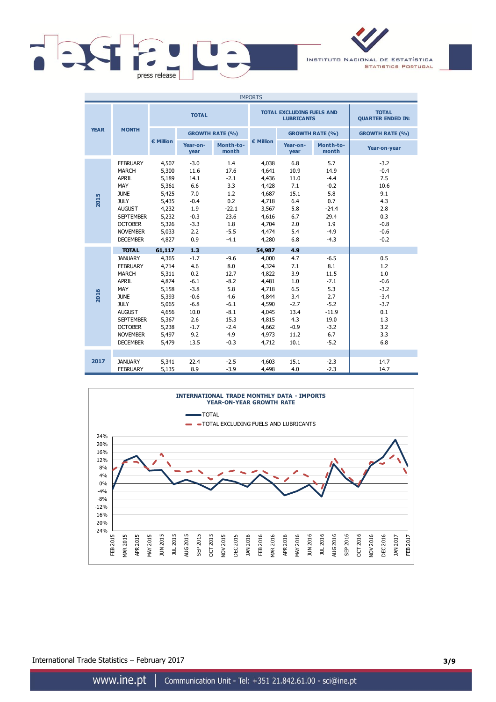

INSTITUTO NACIONAL DE ESTATÍSTICA **STATISTICS PORTUGAL** 

|             |                                                                                                                                                                                                                     |                                                                                                                    |                                                                                                             |                                                                                                      | <b>IMPORTS</b>                                                                                                     |                                                                                                  |                                                                                                       |                                                                                              |
|-------------|---------------------------------------------------------------------------------------------------------------------------------------------------------------------------------------------------------------------|--------------------------------------------------------------------------------------------------------------------|-------------------------------------------------------------------------------------------------------------|------------------------------------------------------------------------------------------------------|--------------------------------------------------------------------------------------------------------------------|--------------------------------------------------------------------------------------------------|-------------------------------------------------------------------------------------------------------|----------------------------------------------------------------------------------------------|
|             |                                                                                                                                                                                                                     |                                                                                                                    | <b>TOTAL</b>                                                                                                |                                                                                                      |                                                                                                                    | <b>TOTAL EXCLUDING FUELS AND</b><br><b>LUBRICANTS</b>                                            |                                                                                                       | <b>TOTAL</b><br><b>QUARTER ENDED IN:</b>                                                     |
| <b>YEAR</b> | <b>MONTH</b>                                                                                                                                                                                                        |                                                                                                                    |                                                                                                             | <b>GROWTH RATE (%)</b>                                                                               |                                                                                                                    |                                                                                                  | <b>GROWTH RATE (%)</b>                                                                                | <b>GROWTH RATE (%)</b>                                                                       |
|             |                                                                                                                                                                                                                     | € Million                                                                                                          | Year-on-<br>year                                                                                            | Month-to-<br>month                                                                                   | € Million                                                                                                          | Year-on-<br>year                                                                                 | Month-to-<br>month                                                                                    | Year-on-year                                                                                 |
| 2015        | <b>FEBRUARY</b><br><b>MARCH</b><br><b>APRIL</b><br>MAY<br><b>JUNE</b><br><b>JULY</b><br><b>AUGUST</b><br><b>SEPTEMBER</b><br><b>OCTOBER</b><br><b>NOVEMBER</b><br><b>DECEMBER</b>                                   | 4,507<br>5,300<br>5,189<br>5,361<br>5,425<br>5,435<br>4,232<br>5,232<br>5,326<br>5,033<br>4,827                    | $-3.0$<br>11.6<br>14.1<br>6.6<br>7.0<br>$-0.4$<br>1.9<br>$-0.3$<br>$-3.3$<br>2.2<br>0.9                     | 1.4<br>17.6<br>$-2.1$<br>3.3<br>1.2<br>0.2<br>$-22.1$<br>23.6<br>1.8<br>$-5.5$<br>$-4.1$             | 4,038<br>4,641<br>4,436<br>4,428<br>4,687<br>4,718<br>3,567<br>4,616<br>4,704<br>4,474<br>4,280                    | 6.8<br>10.9<br>11.0<br>7.1<br>15.1<br>6.4<br>5.8<br>6.7<br>2.0<br>5.4<br>6.8                     | 5.7<br>14.9<br>$-4.4$<br>$-0.2$<br>5.8<br>0.7<br>$-24.4$<br>29.4<br>1.9<br>$-4.9$<br>$-4.3$           | $-3.2$<br>$-0.4$<br>7.5<br>10.6<br>9.1<br>4.3<br>2.8<br>0.3<br>$-0.8$<br>$-0.6$<br>$-0.2$    |
| 2016        | <b>TOTAL</b><br><b>JANUARY</b><br><b>FEBRUARY</b><br><b>MARCH</b><br><b>APRIL</b><br>MAY<br><b>JUNE</b><br><b>JULY</b><br><b>AUGUST</b><br><b>SEPTEMBER</b><br><b>OCTOBER</b><br><b>NOVEMBER</b><br><b>DECEMBER</b> | 61,117<br>4,365<br>4,714<br>5,311<br>4,874<br>5,158<br>5,393<br>5,065<br>4,656<br>5,367<br>5,238<br>5,497<br>5,479 | 1.3<br>$-1.7$<br>4.6<br>0.2<br>$-6.1$<br>$-3.8$<br>$-0.6$<br>$-6.8$<br>10.0<br>2.6<br>$-1.7$<br>9.2<br>13.5 | $-9.6$<br>8.0<br>12.7<br>$-8.2$<br>5.8<br>4.6<br>$-6.1$<br>$-8.1$<br>15.3<br>$-2.4$<br>4.9<br>$-0.3$ | 54,987<br>4,000<br>4,324<br>4,822<br>4,481<br>4,718<br>4,844<br>4,590<br>4,045<br>4,815<br>4,662<br>4,973<br>4,712 | 4.9<br>4.7<br>7.1<br>3.9<br>1.0<br>6.5<br>3.4<br>$-2.7$<br>13.4<br>4.3<br>$-0.9$<br>11.2<br>10.1 | $-6.5$<br>8.1<br>11.5<br>$-7.1$<br>5.3<br>2.7<br>$-5.2$<br>$-11.9$<br>19.0<br>$-3.2$<br>6.7<br>$-5.2$ | 0.5<br>1.2<br>1.0<br>$-0.6$<br>$-3.2$<br>$-3.4$<br>$-3.7$<br>0.1<br>1.3<br>3.2<br>3.3<br>6.8 |
| 2017        | <b>JANUARY</b><br><b>FEBRUARY</b>                                                                                                                                                                                   | 5,341<br>5,135                                                                                                     | 22.4<br>8.9                                                                                                 | $-2.5$<br>$-3.9$                                                                                     | 4,603<br>4,498                                                                                                     | 15.1<br>4.0                                                                                      | $-2.3$<br>$-2.3$                                                                                      | 14.7<br>14.7                                                                                 |



International Trade Statistics – February 2017 **3/9**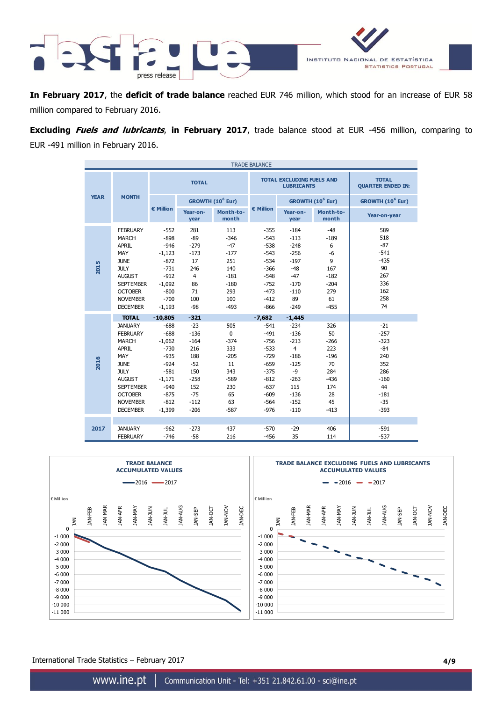



**In February 2017**, the **deficit of trade balance** reached EUR 746 million, which stood for an increase of EUR 58 million compared to February 2016.

**Excluding Fuels and lubricants**, **in February 2017**, trade balance stood at EUR -456 million, comparing to EUR -491 million in February 2016.

|             |                                                                                                                                                                                                     |                                                                                                                            |                                                                                                       |                                                                                            | <b>TRADE BALANCE</b>                                                                                                 |                                                                                                                         |                                                                                          |                                                                                                      |  |  |
|-------------|-----------------------------------------------------------------------------------------------------------------------------------------------------------------------------------------------------|----------------------------------------------------------------------------------------------------------------------------|-------------------------------------------------------------------------------------------------------|--------------------------------------------------------------------------------------------|----------------------------------------------------------------------------------------------------------------------|-------------------------------------------------------------------------------------------------------------------------|------------------------------------------------------------------------------------------|------------------------------------------------------------------------------------------------------|--|--|
|             |                                                                                                                                                                                                     |                                                                                                                            | <b>TOTAL</b>                                                                                          |                                                                                            |                                                                                                                      | <b>TOTAL EXCLUDING FUELS AND</b><br><b>LUBRICANTS</b>                                                                   | <b>TOTAL</b><br><b>QUARTER ENDED IN:</b>                                                 |                                                                                                      |  |  |
| <b>YEAR</b> | <b>MONTH</b>                                                                                                                                                                                        |                                                                                                                            |                                                                                                       | GROWTH (10 <sup>6</sup> Eur)                                                               |                                                                                                                      |                                                                                                                         | GROWTH (10 <sup>6</sup> Eur)                                                             | GROWTH (10 <sup>6</sup> Eur)                                                                         |  |  |
|             |                                                                                                                                                                                                     | € Million                                                                                                                  | Year-on-<br>year                                                                                      | Month-to-<br>month                                                                         | € Million                                                                                                            | Year-on-<br>year                                                                                                        | Month-to-<br>month                                                                       | Year-on-year                                                                                         |  |  |
| 2015        | <b>FEBRUARY</b><br><b>MARCH</b><br><b>APRIL</b><br>MAY<br><b>JUNE</b><br><b>JULY</b><br><b>AUGUST</b><br><b>SEPTEMBER</b><br><b>OCTOBER</b><br><b>NOVEMBER</b><br><b>DECEMBER</b>                   | $-552$<br>$-898$<br>$-946$<br>$-1,123$<br>$-872$<br>$-731$<br>$-912$<br>$-1,092$<br>$-800$<br>$-700$<br>$-1,193$           | 281<br>$-89$<br>$-279$<br>$-173$<br>17<br>246<br>$\overline{4}$<br>86<br>71<br>100<br>$-98$           | 113<br>$-346$<br>$-47$<br>$-177$<br>251<br>140<br>$-181$<br>$-180$<br>293<br>100<br>$-493$ | $-355$<br>$-543$<br>$-538$<br>$-543$<br>$-534$<br>$-366$<br>$-548$<br>$-752$<br>$-473$<br>$-412$<br>$-866$           | $-184$<br>$-113$<br>$-248$<br>$-256$<br>$-197$<br>$-48$<br>$-47$<br>$-170$<br>$-110$<br>89<br>$-249$                    | $-48$<br>$-189$<br>6<br>$-6$<br>9<br>167<br>$-182$<br>$-204$<br>279<br>61<br>$-455$      | 589<br>518<br>$-87$<br>$-541$<br>$-435$<br>90<br>267<br>336<br>162<br>258<br>74                      |  |  |
|             | <b>TOTAL</b>                                                                                                                                                                                        | $-10,805$                                                                                                                  | $-321$                                                                                                |                                                                                            | $-7,682$                                                                                                             | $-1,445$                                                                                                                |                                                                                          |                                                                                                      |  |  |
| 2016        | <b>JANUARY</b><br><b>FEBRUARY</b><br><b>MARCH</b><br><b>APRIL</b><br>MAY<br><b>JUNE</b><br><b>JULY</b><br><b>AUGUST</b><br><b>SEPTEMBER</b><br><b>OCTOBER</b><br><b>NOVEMBER</b><br><b>DECEMBER</b> | $-688$<br>$-688$<br>$-1,062$<br>$-730$<br>$-935$<br>$-924$<br>$-581$<br>$-1,171$<br>$-940$<br>$-875$<br>$-812$<br>$-1,399$ | $-23$<br>$-136$<br>$-164$<br>216<br>188<br>$-52$<br>150<br>$-258$<br>152<br>$-75$<br>$-112$<br>$-206$ | 505<br>0<br>$-374$<br>333<br>$-205$<br>11<br>343<br>$-589$<br>230<br>65<br>63<br>$-587$    | $-541$<br>$-491$<br>$-756$<br>$-533$<br>$-729$<br>$-659$<br>$-375$<br>$-812$<br>$-637$<br>$-609$<br>$-564$<br>$-976$ | $-234$<br>$-136$<br>$-213$<br>$\overline{4}$<br>$-186$<br>$-125$<br>$-9$<br>$-263$<br>115<br>$-136$<br>$-152$<br>$-110$ | 326<br>50<br>$-266$<br>223<br>$-196$<br>70<br>284<br>$-436$<br>174<br>28<br>45<br>$-413$ | $-21$<br>$-257$<br>$-323$<br>$-84$<br>240<br>352<br>286<br>$-160$<br>44<br>$-181$<br>$-35$<br>$-393$ |  |  |
| 2017        | <b>JANUARY</b><br><b>FEBRUARY</b>                                                                                                                                                                   | $-962$<br>$-746$                                                                                                           | $-273$<br>$-58$                                                                                       | 437<br>216                                                                                 | $-570$<br>$-456$                                                                                                     | $-29$<br>35                                                                                                             | 406<br>114                                                                               | $-591$<br>$-537$                                                                                     |  |  |



International Trade Statistics – February 2017 **4/9**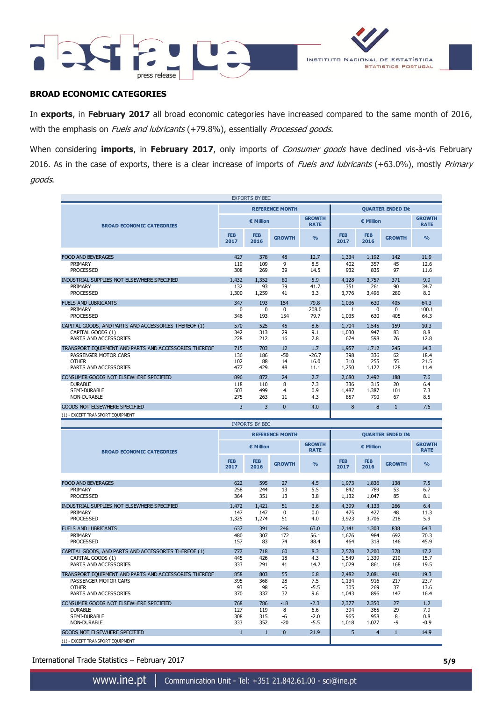



### **BROAD ECONOMIC CATEGORIES**

In **exports**, in **February 2017** all broad economic categories have increased compared to the same month of 2016, with the emphasis on Fuels and lubricants (+79.8%), essentially Processed goods.

When considering **imports**, in **February 2017**, only imports of Consumer goods have declined vis-à-vis February 2016. As in the case of exports, there is a clear increase of imports of Fuels and lubricants (+63.0%), mostly Primary goods.

|                                                               |                         | <b>EXPORTS BY BEC</b> |                        |                              |                          |                     |                 |                              |  |
|---------------------------------------------------------------|-------------------------|-----------------------|------------------------|------------------------------|--------------------------|---------------------|-----------------|------------------------------|--|
|                                                               |                         |                       | <b>REFERENCE MONTH</b> |                              | <b>QUARTER ENDED IN:</b> |                     |                 |                              |  |
| <b>BROAD ECONOMIC CATEGORIES</b>                              |                         | € Million             |                        | <b>GROWTH</b><br><b>RATE</b> |                          | € Million           |                 | <b>GROWTH</b><br><b>RATE</b> |  |
|                                                               | <b>FEB</b><br>2017      | <b>FEB</b><br>2016    | <b>GROWTH</b>          | $\frac{0}{0}$                | <b>FEB</b><br>2017       | <b>FEB</b><br>2016  | <b>GROWTH</b>   | O/2                          |  |
|                                                               |                         |                       |                        |                              |                          |                     |                 |                              |  |
| <b>FOOD AND BEVERAGES</b>                                     | 427                     | 378                   | 48                     | 12.7                         | 1.334                    | 1,192               | 142             | 11.9                         |  |
| PRIMARY<br><b>PROCESSED</b>                                   | 119<br>308              | 109<br>269            | 9<br>39                | 8.5<br>14.5                  | 402<br>932               | 357<br>835          | 45<br>97        | 12.6<br>11.6                 |  |
| INDUSTRIAL SUPPLIES NOT ELSEWHERE SPECIFIED                   | 1,432                   | 1,352                 | 80                     | 5.9                          | 4.128                    | 3.757               | 371             | 9.9                          |  |
| PRIMARY<br><b>PROCESSED</b>                                   | 132<br>1,300            | 93<br>1,259           | 39<br>41               | 41.7<br>3.3                  | 351<br>3,776             | 261<br>3,496        | 90<br>280       | 34.7<br>8.0                  |  |
| <b>FUELS AND LUBRICANTS</b>                                   | 347                     | 193                   | 154                    | 79.8                         | 1,036                    | 630                 | 405             | 64.3                         |  |
| PRIMARY<br><b>PROCESSED</b>                                   | 0<br>346                | $\Omega$<br>193       | $\Omega$<br>154        | 208.0<br>79.7                | 1<br>1,035               | $\Omega$<br>630     | $\Omega$<br>405 | 100.1<br>64.3                |  |
| CAPITAL GOODS, AND PARTS AND ACCESSORIES THEREOF (1)          | 570                     | 525                   | 45                     | 8.6                          | 1,704                    | 1.545               | 159             | 10.3                         |  |
| CAPITAL GOODS (1)<br>PARTS AND ACCESSORIES                    | 342<br>228              | 313<br>212            | 29<br>16               | 9.1<br>7.8                   | 1,030<br>674             | 947<br>598          | 83<br>76        | 8.8<br>12.8                  |  |
| TRANSPORT EQUIPMENT AND PARTS AND ACCESSORIES THEREOF         | 715                     | 703                   | 12                     | 1.7                          | 1,957                    | 1,712               | 245             | 14.3                         |  |
| PASSENGER MOTOR CARS<br><b>OTHER</b><br>PARTS AND ACCESSORIES | 136<br>102<br>477       | 186<br>88<br>429      | $-50$<br>14<br>48      | $-26.7$<br>16.0<br>11.1      | 398<br>310<br>1,250      | 336<br>255<br>1,122 | 62<br>55<br>128 | 18.4<br>21.5<br>11.4         |  |
| CONSUMER GOODS NOT ELSEWHERE SPECIFIED                        | 896                     | 872                   | 24                     | 2.7                          | 2,680                    | 2,492               | 188             | 7.6                          |  |
| <b>DURABLE</b><br>SEMI-DURABLE<br><b>NON-DURABLE</b>          | 118<br>503<br>275       | 110<br>499<br>263     | 8<br>4<br>11           | 7.3<br>0.9<br>4.3            | 336<br>1,487<br>857      | 315<br>1,387<br>790 | 20<br>101<br>67 | 6.4<br>7.3<br>8.5            |  |
| <b>GOODS NOT ELSEWHERE SPECIFIED</b>                          | $\overline{\mathbf{3}}$ | 3                     | $\Omega$               | 4.0                          | 8                        | 8                   | $\mathbf{1}$    | 7.6                          |  |
| (1) - EXCEPT TRANSPORT EQUIPMENT                              |                         |                       |                        |                              |                          |                     |                 |                              |  |

|                                                                                                                        |                          | <b>IMPORTS BY BEC</b>    |                           |                                   |                                |                              |                         |                              |  |  |
|------------------------------------------------------------------------------------------------------------------------|--------------------------|--------------------------|---------------------------|-----------------------------------|--------------------------------|------------------------------|-------------------------|------------------------------|--|--|
|                                                                                                                        |                          |                          | <b>REFERENCE MONTH</b>    |                                   | <b>OUARTER ENDED IN:</b>       |                              |                         |                              |  |  |
| <b>BROAD ECONOMIC CATEGORIES</b>                                                                                       |                          | € Million                |                           | <b>GROWTH</b><br><b>RATE</b>      |                                | € Million                    |                         | <b>GROWTH</b><br><b>RATE</b> |  |  |
|                                                                                                                        | <b>FEB</b><br>2017       | <b>FEB</b><br>2016       | <b>GROWTH</b>             | O <sub>0</sub>                    | <b>FEB</b><br>2017             | <b>FEB</b><br>2016           | <b>GROWTH</b>           | O/2                          |  |  |
| <b>FOOD AND BEVERAGES</b>                                                                                              | 622                      | 595                      | 27                        | 4.5                               | 1,973                          | 1.836                        | 138                     | 7.5                          |  |  |
| PRIMARY<br><b>PROCESSED</b>                                                                                            | 258<br>364               | 244<br>351               | 13<br>13                  | 5.5<br>3.8                        | 842<br>1,132                   | 789<br>1,047                 | 53<br>85                | 6.7<br>8.1                   |  |  |
| INDUSTRIAL SUPPLIES NOT ELSEWHERE SPECIFIED                                                                            | 1.472                    | 1.421                    | 51                        | 3.6                               | 4,399                          | 4.133                        | 266                     | 6.4                          |  |  |
| PRIMARY<br><b>PROCESSED</b>                                                                                            | 147<br>1,325             | 147<br>1,274             | $\mathbf 0$<br>51         | 0.0<br>4.0                        | 475<br>3,923                   | 427<br>3,706                 | 48<br>218               | 11.3<br>5.9                  |  |  |
| <b>FUELS AND LUBRICANTS</b><br>PRIMARY<br><b>PROCESSED</b>                                                             | 637<br>480<br>157        | 391<br>307<br>83         | 246<br>172<br>74          | 63.0<br>56.1<br>88.4              | 2.141<br>1,676<br>464          | 1.303<br>984<br>318          | 838<br>692<br>146       | 64.3<br>70.3<br>45.9         |  |  |
| CAPITAL GOODS, AND PARTS AND ACCESSORIES THEREOF (1)<br>CAPITAL GOODS (1)<br>PARTS AND ACCESSORIES                     | 777<br>445<br>333        | 718<br>426<br>291        | 60<br>18<br>41            | 8.3<br>4.3<br>14.2                | 2,578<br>1,549<br>1,029        | 2,200<br>1,339<br>861        | 378<br>210<br>168       | 17.2<br>15.7<br>19.5         |  |  |
| TRANSPORT EQUIPMENT AND PARTS AND ACCESSORIES THEREOF<br>PASSENGER MOTOR CARS<br><b>OTHER</b><br>PARTS AND ACCESSORIES | 858<br>395<br>93<br>370  | 803<br>368<br>98<br>337  | 55<br>28<br>$-5$<br>32    | 6.8<br>7.5<br>$-5.5$<br>9.6       | 2,482<br>1,134<br>305<br>1,043 | 2.081<br>916<br>269<br>896   | 401<br>217<br>37<br>147 | 19.3<br>23.7<br>13.6<br>16.4 |  |  |
| CONSUMER GOODS NOT ELSEWHERE SPECIFIED<br><b>DURABLE</b><br><b>SEMI-DURABLE</b><br><b>NON-DURABLE</b>                  | 768<br>127<br>308<br>333 | 786<br>119<br>315<br>352 | $-18$<br>8<br>-6<br>$-20$ | $-2.3$<br>6.6<br>$-2.0$<br>$-5.5$ | 2,377<br>394<br>965<br>1,018   | 2,350<br>365<br>958<br>1,027 | 27<br>29<br>8<br>$-9$   | 1.2<br>7.9<br>0.8<br>$-0.9$  |  |  |
| <b>GOODS NOT ELSEWHERE SPECIFIED</b><br>(1) - EXCEPT TRANSPORT EQUIPMENT                                               | $\mathbf{1}$             | $\mathbf{1}$             | $\Omega$                  | 21.9                              | 5                              | $\overline{4}$               | $\mathbf{1}$            | 14.9                         |  |  |

International Trade Statistics – February 2017 **5/9**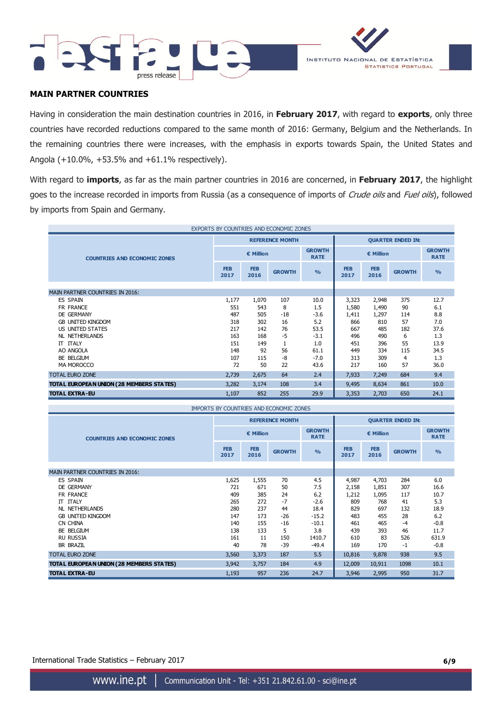



# **MAIN PARTNER COUNTRIES**

Having in consideration the main destination countries in 2016, in **February 2017**, with regard to **exports**, only three countries have recorded reductions compared to the same month of 2016: Germany, Belgium and the Netherlands. In the remaining countries there were increases, with the emphasis in exports towards Spain, the United States and Angola (+10.0%, +53.5% and +61.1% respectively).

With regard to **imports**, as far as the main partner countries in 2016 are concerned, in **February 2017**, the highlight goes to the increase recorded in imports from Russia (as a consequence of imports of Crude oils and Fuel oils), followed by imports from Spain and Germany.

|                                          |                    |                    | EXPORTS BY COUNTRIES AND ECONOMIC ZONES |                              |                          |                              |               |                |  |  |
|------------------------------------------|--------------------|--------------------|-----------------------------------------|------------------------------|--------------------------|------------------------------|---------------|----------------|--|--|
|                                          |                    |                    | <b>REFERENCE MONTH</b>                  |                              | <b>QUARTER ENDED IN:</b> |                              |               |                |  |  |
| <b>COUNTRIES AND ECONOMIC ZONES</b>      |                    | € Million          |                                         | <b>GROWTH</b><br><b>RATE</b> |                          | <b>GROWTH</b><br><b>RATE</b> |               |                |  |  |
|                                          | <b>FEB</b><br>2017 | <b>FEB</b><br>2016 | <b>GROWTH</b>                           | O <sub>0</sub>               | <b>FEB</b><br>2017       | <b>FEB</b><br>2016           | <b>GROWTH</b> | O <sub>0</sub> |  |  |
|                                          |                    |                    |                                         |                              |                          |                              |               |                |  |  |
| <b>MAIN PARTNER COUNTRIES IN 2016:</b>   |                    |                    |                                         |                              |                          |                              |               |                |  |  |
| <b>ES SPAIN</b>                          | 1,177              | 1,070              | 107                                     | 10.0                         | 3,323                    | 2,948                        | 375           | 12.7           |  |  |
| FR FRANCE                                | 551                | 543                | 8                                       | 1.5                          | 1,580                    | 1,490                        | 90            | 6.1            |  |  |
| DE GERMANY                               | 487                | 505                | $-18$                                   | $-3.6$                       | 1,411                    | 1,297                        | 114           | 8.8            |  |  |
| <b>GB UNITED KINGDOM</b>                 | 318                | 302                | 16                                      | 5.2                          | 866                      | 810                          | 57            | 7.0            |  |  |
| US UNITED STATES                         | 217                | 142                | 76                                      | 53.5                         | 667                      | 485                          | 182           | 37.6           |  |  |
| <b>NL NETHERLANDS</b>                    | 163                | 168                | -5                                      | $-3.1$                       | 496                      | 490                          | 6             | 1.3            |  |  |
| IT ITALY                                 | 151                | 149                |                                         | 1.0                          | 451                      | 396                          | 55            | 13.9           |  |  |
| AO ANGOLA                                | 148                | 92                 | 56                                      | 61.1                         | 449                      | 334                          | 115           | 34.5           |  |  |
| BE BELGIUM                               | 107                | 115                | -8                                      | $-7.0$                       | 313                      | 309                          | 4             | 1.3            |  |  |
| MA MOROCCO                               | 72                 | 50                 | 22                                      | 43.6                         | 217                      | 160                          | 57            | 36.0           |  |  |
| <b>TOTAL EURO ZONE</b>                   | 2,739              | 64<br>2,675<br>2.4 |                                         |                              |                          | 7,249                        | 684           | 9.4            |  |  |
| TOTAL EUROPEAN UNION (28 MEMBERS STATES) | 3,282              | 3,174              | 108                                     | 3.4                          | 9,495                    | 8,634                        | 861           | 10.0           |  |  |
| <b>TOTAL EXTRA-EU</b>                    | 1,107              | 852                | 255                                     | 29.9                         | 3,353                    | 2,703                        | 650           | 24.1           |  |  |

|                                          |                    |                    | IMPORTS BY COUNTRIES AND ECONOMIC ZONES |               |                              |                    |               |               |  |  |
|------------------------------------------|--------------------|--------------------|-----------------------------------------|---------------|------------------------------|--------------------|---------------|---------------|--|--|
|                                          |                    |                    | <b>REFERENCE MONTH</b>                  |               | <b>QUARTER ENDED IN:</b>     |                    |               |               |  |  |
| <b>COUNTRIES AND ECONOMIC ZONES</b>      |                    | € Million          | <b>GROWTH</b><br><b>RATE</b>            |               | <b>GROWTH</b><br><b>RATE</b> |                    |               |               |  |  |
|                                          | <b>FEB</b><br>2017 | <b>FEB</b><br>2016 | <b>GROWTH</b>                           | $\frac{0}{0}$ | <b>FEB</b><br>2017           | <b>FEB</b><br>2016 | <b>GROWTH</b> | $\frac{0}{0}$ |  |  |
| MAIN PARTNER COUNTRIES IN 2016:          |                    |                    |                                         |               |                              |                    |               |               |  |  |
| <b>ES SPAIN</b>                          | 1,625              | 1,555              | 70                                      | 4.5           | 4,987                        | 4,703              | 284           | 6.0           |  |  |
| DE GERMANY                               | 721                | 671                | 50                                      | 7.5           | 2,158                        | 1,851              | 307           | 16.6          |  |  |
| FR FRANCE                                | 409                | 385                | 24                                      | 6.2           | 1,212                        | 1,095              | 117           | 10.7          |  |  |
| IT ITALY                                 | 265                | 272                | $-7$                                    | $-2.6$        | 809                          | 768                | 41            | 5.3           |  |  |
| NL NETHERLANDS                           | 280                | 237                | 44                                      | 18.4          | 829                          | 697                | 132           | 18.9          |  |  |
| <b>GB UNITED KINGDOM</b>                 | 147                | 173                | $-26$                                   | $-15.2$       | 483                          | 455                | 28            | 6.2           |  |  |
| CN CHINA                                 | 140                | 155                | $-16$                                   | $-10.1$       | 461                          | 465                | -4            | $-0.8$        |  |  |
| BE BELGIUM                               | 138                | 133                | 5                                       | 3.8           | 439                          | 393                | 46            | 11.7          |  |  |
| <b>RU RUSSIA</b>                         | 161                | 11                 | 150                                     | 1410.7        | 610                          | 83                 | 526           | 631.9         |  |  |
| <b>BR BRAZIL</b>                         | 40                 | 78                 | -39                                     | $-49.4$       | 169                          | 170                | $-1$          | $-0.8$        |  |  |
| <b>TOTAL EURO ZONE</b>                   | 3,560              | 3,373              | 187                                     | 5.5           | 10,816                       | 9,878              | 938           | 9.5           |  |  |
| TOTAL EUROPEAN UNION (28 MEMBERS STATES) | 3,942              | 3,757              | 184                                     | 4.9           | 12,009                       | 10,911             | 1098          | 10.1          |  |  |
| <b>TOTAL EXTRA-EU</b>                    | 1,193              | 957                | 236                                     | 24.7          | 3,946                        | 2,995              | 950           | 31.7          |  |  |

International Trade Statistics – February 2017 **6/9**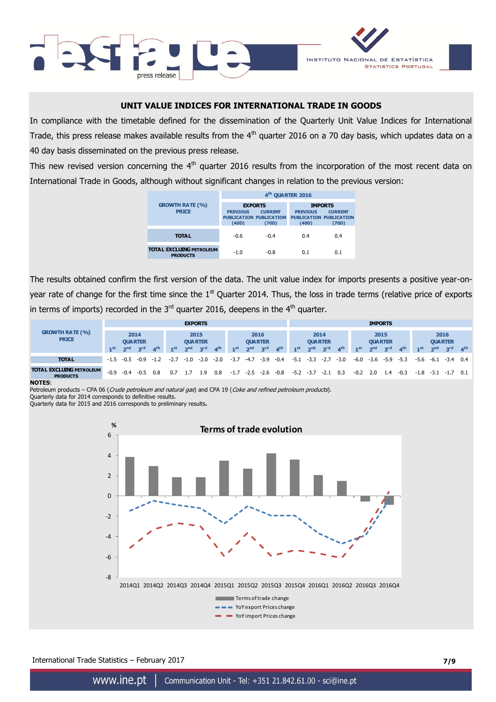



### **UNIT VALUE INDICES FOR INTERNATIONAL TRADE IN GOODS**

In compliance with the timetable defined for the dissemination of the Quarterly Unit Value Indices for International Trade, this press release makes available results from the  $4<sup>th</sup>$  quarter 2016 on a 70 day basis, which updates data on a 40 day basis disseminated on the previous press release.

This new revised version concerning the  $4<sup>th</sup>$  quarter 2016 results from the incorporation of the most recent data on International Trade in Goods, although without significant changes in relation to the previous version:

|                                                    |                 | 4 <sup>th</sup> QUARTER 2016                     |                                                   |                |
|----------------------------------------------------|-----------------|--------------------------------------------------|---------------------------------------------------|----------------|
| <b>GROWTH RATE (%)</b>                             | <b>EXPORTS</b>  |                                                  | <b>IMPORTS</b>                                    |                |
| <b>PRICE</b>                                       | <b>PREVIOUS</b> | <b>CURRENT</b><br><b>PUBLICATION PUBLICATION</b> | <b>PREVIOUS</b><br><b>PUBLICATION PUBLICATION</b> | <b>CURRENT</b> |
|                                                    | (40D)           | (70D)                                            | (40D)                                             | (70D)          |
| <b>TOTAL</b>                                       | $-0.6$          | $-0.4$                                           | 0.4                                               | 0.4            |
| <b>TOTAL EXCLUING PETROLEUM</b><br><b>PRODUCTS</b> | $-1.0$          | $-0.8$                                           | 0.1                                               | 0.1            |

The results obtained confirm the first version of the data. The unit value index for imports presents a positive year-onyear rate of change for the first time since the  $1<sup>st</sup>$  Quarter 2014. Thus, the loss in trade terms (relative price of exports in terms of imports) recorded in the  $3<sup>rd</sup>$  quarter 2016, deepens in the  $4<sup>th</sup>$  quarter.

|                                                    |                        |                 |                             |                        |                 |                 | <b>EXPORTS</b>         |                 |                 |                        |                 |                 |                        |                 |                 |                          |                 |                 | <b>IMPORTS</b> |                 |                 |                 |                 |                 |
|----------------------------------------------------|------------------------|-----------------|-----------------------------|------------------------|-----------------|-----------------|------------------------|-----------------|-----------------|------------------------|-----------------|-----------------|------------------------|-----------------|-----------------|--------------------------|-----------------|-----------------|----------------|-----------------|-----------------|-----------------|-----------------|-----------------|
| <b>GROWTH RATE (%)</b><br><b>PRICE</b>             | 2014<br><b>QUARTER</b> |                 |                             | 2015<br><b>QUARTER</b> |                 |                 | 2016<br><b>QUARTER</b> |                 |                 | 2014<br><b>QUARTER</b> |                 |                 | 2015<br><b>QUARTER</b> |                 |                 | 2016<br><b>QUARTER</b>   |                 |                 |                |                 |                 |                 |                 |                 |
|                                                    | 1 <sup>st</sup>        | 2 <sub>nd</sub> | 3 <sup>rd</sup>             | A <sup>th</sup>        | 1 <sup>st</sup> | 2 <sup>nd</sup> | 3 <sup>rd</sup>        | 4 <sup>th</sup> | 1 <sub>st</sub> | 2 <sub>nd</sub>        | 3 <sup>rd</sup> | 4 <sup>th</sup> | 1 <sup>st</sup>        | 2 <sub>nd</sub> | 3 <sup>rd</sup> | $\mathbf{A}^{\text{th}}$ | 1 <sup>st</sup> | 2 <sup>nd</sup> | <b>Red</b>     | 4 <sup>th</sup> | 1 <sup>st</sup> | 2 <sub>nd</sub> | 3 <sup>rd</sup> | 4 <sup>th</sup> |
| <b>TOTAL</b>                                       |                        |                 | $-1.5$ $-0.5$ $-0.9$ $-1.2$ |                        | $-2.7$          | $-1.0$          | $-2.0$                 | $-2.0$          | $-3.7$          | $-4.7$                 | $-3.9$          | $-0.4$          | $-5.1$                 | $-3.3$          | $-2.7$          | $-3.0$                   | -6.0            | $-3.6$          | $-5.9$         | $-5.3$          | -5.6            | $-6.1$          | $-3.4$          | 0.4             |
| <b>TOTAL EXCLUING PETROLEUM</b><br><b>PRODUCTS</b> | $-0.9$                 | $-0.4$          | $-0.5$                      | 0.8                    | 0.7             |                 | . 9                    | 0.8             | $-1.7$          | $-2.5$                 | $-2.6$          | $-0.8$          | $-5.2$                 | $-3.7$          | $-2.1$          | 0.3                      | $-0.2$          | 2.0             | 1.4            | $-0.3$          | $-1.8$          | $-3.1 -1.7$     |                 | 0.1             |

#### **NOTES**:

Petroleum products - CPA 06 (Crude petroleum and natural gas) and CPA 19 (Coke and refined petroleum products).

Quarterly data for 2014 corresponds to definitive results.

Quarterly data for 2015 and 2016 corresponds to preliminary results**.**



International Trade Statistics – February 2017 **7/9**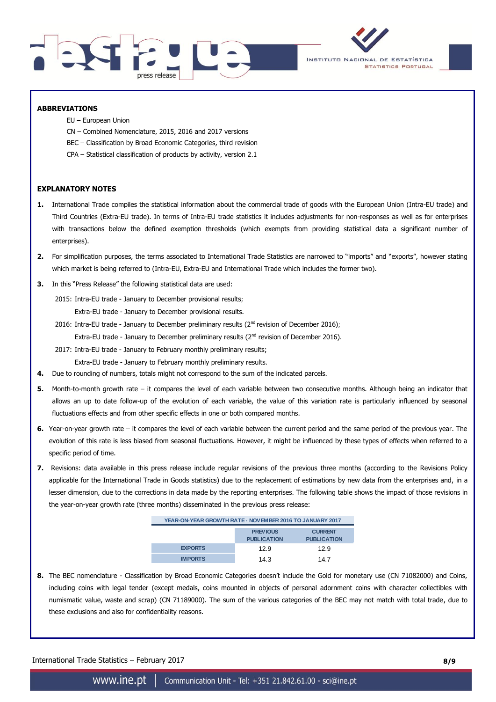



### **ABBREVIATIONS**

- EU European Union
- CN Combined Nomenclature, 2015, 2016 and 2017 versions
- BEC Classification by Broad Economic Categories, third revision
- CPA Statistical classification of products by activity, version 2.1

### **EXPLANATORY NOTES**

- **1.** International Trade compiles the statistical information about the commercial trade of goods with the European Union (Intra-EU trade) and Third Countries (Extra-EU trade). In terms of Intra-EU trade statistics it includes adjustments for non-responses as well as for enterprises with transactions below the defined exemption thresholds (which exempts from providing statistical data a significant number of enterprises).
- **2.** For simplification purposes, the terms associated to International Trade Statistics are narrowed to "imports" and "exports", however stating which market is being referred to (Intra-EU, Extra-EU and International Trade which includes the former two).
- **3.** In this "Press Release" the following statistical data are used:
	- 2015: Intra-EU trade January to December provisional results;
		- Extra-EU trade January to December provisional results.
	- 2016: Intra-EU trade January to December preliminary results ( $2<sup>nd</sup>$  revision of December 2016); Extra-EU trade - January to December preliminary results  $(2^{nd}$  revision of December 2016).
	- 2017: Intra-EU trade January to February monthly preliminary results; Extra-EU trade - January to February monthly preliminary results.
- **4.** Due to rounding of numbers, totals might not correspond to the sum of the indicated parcels.
- **5.** Month-to-month growth rate it compares the level of each variable between two consecutive months. Although being an indicator that allows an up to date follow-up of the evolution of each variable, the value of this variation rate is particularly influenced by seasonal fluctuations effects and from other specific effects in one or both compared months.
- **6.** Year-on-year growth rate it compares the level of each variable between the current period and the same period of the previous year. The evolution of this rate is less biased from seasonal fluctuations. However, it might be influenced by these types of effects when referred to a specific period of time.
- **7.** Revisions: data available in this press release include regular revisions of the previous three months (according to the Revisions Policy applicable for the International Trade in Goods statistics) due to the replacement of estimations by new data from the enterprises and, in a lesser dimension, due to the corrections in data made by the reporting enterprises. The following table shows the impact of those revisions in the year-on-year growth rate (three months) disseminated in the previous press release:

|                | YEAR-ON-YEAR GROWTH RATE - NOVEM BER 2016 TO JANUARY 2017 |                                      |  |  |  |  |  |  |
|----------------|-----------------------------------------------------------|--------------------------------------|--|--|--|--|--|--|
|                | <b>PREVIOUS</b><br><b>PUBLICATION</b>                     | <b>CURRENT</b><br><b>PUBLICATION</b> |  |  |  |  |  |  |
| <b>EXPORTS</b> | 12.9                                                      | 12.9                                 |  |  |  |  |  |  |
| <b>IMPORTS</b> | 14.3                                                      | 14.7                                 |  |  |  |  |  |  |

**8.** The BEC nomenclature - Classification by Broad Economic Categories doesn't include the Gold for monetary use (CN 71082000) and Coins, including coins with legal tender (except medals, coins mounted in objects of personal adornment coins with character collectibles with numismatic value, waste and scrap) (CN 71189000). The sum of the various categories of the BEC may not match with total trade, due to these exclusions and also for confidentiality reasons.

International Trade Statistics – February 2017 **8/9**